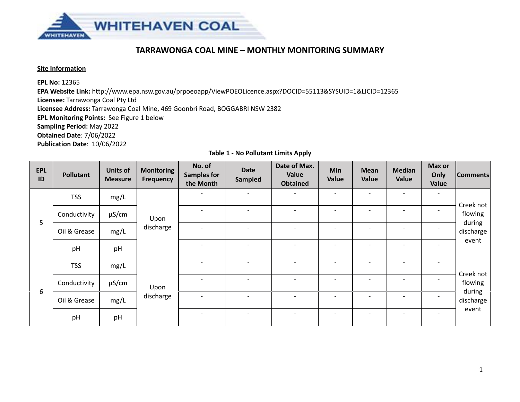

# **TARRAWONGA COAL MINE – MONTHLY MONITORING SUMMARY**

### **Site Information**

**EPL No:** 12365

**EPA Website Link:** <http://www.epa.nsw.gov.au/prpoeoapp/ViewPOEOLicence.aspx?DOCID=55113&SYSUID=1&LICID=12365> **Licensee:** Tarrawonga Coal Pty Ltd

**Licensee Address:** Tarrawonga Coal Mine, 469 Goonbri Road, BOGGABRI NSW 2382

**EPL Monitoring Points:** See Figure 1 below

**Sampling Period:** May 2022

**Obtained Date**: 7/06/2022

**Publication Date**: 10/06/2022

|  |  | <b>Table 1 - No Pollutant Limits Apply</b> |  |  |
|--|--|--------------------------------------------|--|--|
|--|--|--------------------------------------------|--|--|

| <b>EPL</b><br>ID | <b>Pollutant</b> | <b>Units of</b><br><b>Measure</b> | <b>Monitoring</b><br>Frequency | No. of<br><b>Samples for</b><br>the Month | <b>Date</b><br><b>Sampled</b> | Date of Max.<br>Value<br><b>Obtained</b> | <b>Min</b><br>Value          | <b>Mean</b><br>Value | <b>Median</b><br>Value   | Max or<br>Only<br>Value      | <b>Comments</b>      |
|------------------|------------------|-----------------------------------|--------------------------------|-------------------------------------------|-------------------------------|------------------------------------------|------------------------------|----------------------|--------------------------|------------------------------|----------------------|
|                  | <b>TSS</b>       | mg/L                              |                                |                                           | $\overline{\phantom{a}}$      | $\overline{\phantom{0}}$                 | $\overline{\phantom{a}}$     |                      |                          | $\overline{\phantom{0}}$     | Creek not            |
|                  | Conductivity     | $\mu$ S/cm                        | Upon<br>discharge              |                                           | $\overline{\phantom{0}}$      | $\overline{\phantom{0}}$                 | $\overline{\phantom{a}}$     |                      |                          | $\overline{\phantom{0}}$     | flowing              |
| 5                | Oil & Grease     | mg/L                              |                                |                                           | $\overline{\phantom{0}}$      | $\overline{\phantom{0}}$                 | $\qquad \qquad \blacksquare$ |                      |                          | $\qquad \qquad \blacksquare$ | during<br>discharge  |
|                  | pH               | pH                                |                                |                                           | $\qquad \qquad$               | $\overline{\phantom{a}}$                 | $\qquad \qquad \blacksquare$ |                      |                          | $\qquad \qquad \blacksquare$ | event                |
|                  | <b>TSS</b>       | mg/L                              | Upon<br>discharge              |                                           | $\overline{\phantom{0}}$      | $\overline{\phantom{0}}$                 | $\overline{\phantom{0}}$     |                      |                          | $\overline{\phantom{0}}$     |                      |
|                  | Conductivity     | $\mu$ S/cm                        |                                |                                           | $\overline{\phantom{a}}$      | -                                        | $\overline{\phantom{a}}$     |                      | $\overline{\phantom{a}}$ | $\overline{\phantom{0}}$     | Creek not<br>flowing |
| 6                | Oil & Grease     | mg/L                              |                                |                                           | $\overline{\phantom{0}}$      |                                          | $\blacksquare$               |                      |                          | $\overline{\phantom{0}}$     | during<br>discharge  |
|                  | pH               | pH                                |                                |                                           | $\overline{\phantom{a}}$      | $\overline{\phantom{a}}$                 | $\overline{\phantom{a}}$     |                      |                          | $\qquad \qquad \blacksquare$ | event                |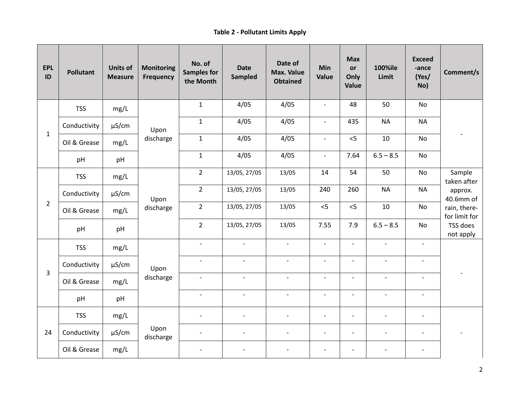## **Table 2 - Pollutant Limits Apply**

| <b>EPL</b><br>ID | <b>Pollutant</b> | <b>Units of</b><br><b>Measure</b> | <b>Monitoring</b><br><b>Frequency</b> | No. of<br><b>Samples for</b><br>the Month | <b>Date</b><br>Sampled   | Date of<br><b>Max. Value</b><br><b>Obtained</b> | <b>Min</b><br>Value      | <b>Max</b><br>or<br>Only<br>Value | <b>100%ile</b><br>Limit  | <b>Exceed</b><br>-ance<br>(Yes/<br>No) | Comment/s                     |
|------------------|------------------|-----------------------------------|---------------------------------------|-------------------------------------------|--------------------------|-------------------------------------------------|--------------------------|-----------------------------------|--------------------------|----------------------------------------|-------------------------------|
|                  | <b>TSS</b>       | mg/L                              |                                       | $\mathbf 1$                               | 4/05                     | 4/05                                            | $\overline{\phantom{a}}$ | 48                                | 50                       | No                                     |                               |
|                  | Conductivity     | $\mu$ S/cm                        | Upon                                  | $\mathbf{1}$                              | 4/05                     | 4/05                                            | $\overline{\phantom{a}}$ | 435                               | <b>NA</b>                | <b>NA</b>                              |                               |
| $\mathbf{1}$     | Oil & Grease     | mg/L                              | discharge                             | $\mathbf 1$                               | 4/05                     | 4/05                                            | $\overline{\phantom{a}}$ | $<$ 5                             | $10\,$                   | No                                     |                               |
|                  | pH               | pH                                |                                       | $\mathbf{1}$                              | 4/05                     | 4/05                                            | $\overline{\phantom{a}}$ | 7.64                              | $6.5 - 8.5$              | <b>No</b>                              |                               |
|                  | <b>TSS</b>       | mg/L                              | Upon<br>discharge                     | $\overline{2}$                            | 13/05, 27/05             | 13/05                                           | 14                       | 54                                | 50                       | <b>No</b>                              | Sample<br>taken after         |
|                  | Conductivity     | $\mu$ S/cm                        |                                       | $\overline{2}$                            | 13/05, 27/05             | 13/05                                           | 240                      | 260                               | <b>NA</b>                | <b>NA</b>                              | approx.<br>40.6mm of          |
| $\overline{2}$   | Oil & Grease     | mg/L                              |                                       | $\overline{2}$                            | 13/05, 27/05             | 13/05                                           | < 5                      | < 5                               | 10                       | <b>No</b>                              | rain, there-<br>for limit for |
|                  | pH<br>pH         |                                   | $\overline{2}$                        | 13/05, 27/05                              | 13/05                    | 7.55                                            | 7.9                      | $6.5 - 8.5$                       | <b>No</b>                | TSS does<br>not apply                  |                               |
|                  | <b>TSS</b>       | mg/L                              |                                       | $\overline{\phantom{a}}$                  | $\overline{\phantom{a}}$ | $\overline{\phantom{a}}$                        | $\overline{\phantom{a}}$ | $\overline{\phantom{a}}$          | $\blacksquare$           | $\overline{\phantom{a}}$               |                               |
|                  | Conductivity     | $\mu$ S/cm                        | Upon                                  | $\overline{\phantom{a}}$                  | $\overline{\phantom{a}}$ | $\overline{\phantom{a}}$                        | $\overline{\phantom{a}}$ | $\overline{\phantom{a}}$          | $\overline{\phantom{a}}$ | $\overline{\phantom{a}}$               |                               |
| 3                | Oil & Grease     | mg/L                              | discharge                             | $\blacksquare$                            | $\overline{\phantom{a}}$ | $\overline{\phantom{a}}$                        | $\overline{\phantom{a}}$ | $\overline{\phantom{a}}$          | $\overline{\phantom{a}}$ | $\overline{\phantom{a}}$               |                               |
|                  | pH               | pH                                |                                       | $\frac{1}{2}$                             | $\blacksquare$           | $\overline{a}$                                  | $\blacksquare$           | $\overline{\phantom{a}}$          | $\blacksquare$           | $\blacksquare$                         |                               |
|                  | <b>TSS</b>       | mg/L                              |                                       | $\overline{\phantom{m}}$                  | $\overline{\phantom{a}}$ |                                                 | $\blacksquare$           | $\blacksquare$                    | $\overline{\phantom{a}}$ | $\overline{\phantom{a}}$               |                               |
| 24               | Conductivity     | $\mu$ S/cm                        | Upon<br>discharge                     |                                           | $\blacksquare$           | $\blacksquare$                                  | $\overline{\phantom{a}}$ | $\overline{\phantom{a}}$          | $\overline{\phantom{a}}$ | $\overline{\phantom{a}}$               |                               |
|                  | Oil & Grease     | mg/L                              |                                       |                                           |                          |                                                 | $\overline{\phantom{a}}$ | $\overline{\phantom{a}}$          | $\overline{a}$           |                                        |                               |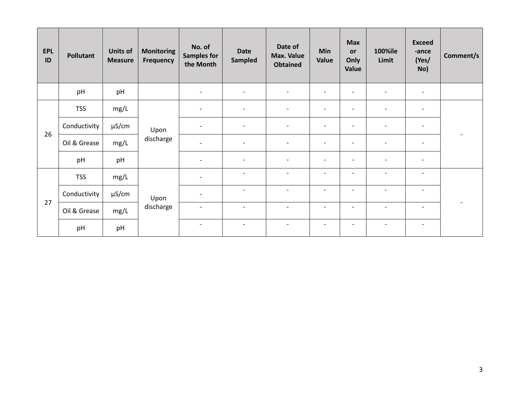| <b>EPL</b><br>ID | <b>Pollutant</b> | <b>Units of</b><br><b>Measure</b> | <b>Monitoring</b><br><b>Frequency</b> | No. of<br><b>Samples for</b><br>the Month | <b>Date</b><br><b>Sampled</b> | Date of<br><b>Max. Value</b><br><b>Obtained</b> | <b>Min</b><br>Value          | <b>Max</b><br><b>or</b><br>Only<br>Value | <b>100%ile</b><br>Limit  | <b>Exceed</b><br>-ance<br>(Yes/<br>No) | Comment/s |
|------------------|------------------|-----------------------------------|---------------------------------------|-------------------------------------------|-------------------------------|-------------------------------------------------|------------------------------|------------------------------------------|--------------------------|----------------------------------------|-----------|
|                  | pH               | pH                                |                                       | $\overline{\phantom{a}}$                  | $\overline{\phantom{a}}$      | $\overline{\phantom{0}}$                        | $\blacksquare$               | $\overline{\phantom{a}}$                 | $\overline{\phantom{a}}$ | $\overline{\phantom{a}}$               |           |
|                  | <b>TSS</b>       | mg/L                              | Upon<br>discharge                     | $\overline{\phantom{a}}$                  | $\overline{\phantom{a}}$      | $\overline{\phantom{a}}$                        | $\overline{\phantom{a}}$     | $\overline{\phantom{a}}$                 | $\overline{\phantom{a}}$ | $\overline{\phantom{a}}$               |           |
|                  | Conductivity     | μS/cm                             |                                       | $\overline{\phantom{a}}$                  | $\overline{\phantom{a}}$      | $\overline{\phantom{a}}$                        | $\blacksquare$               | $\overline{\phantom{0}}$                 | $\overline{\phantom{a}}$ | $\overline{\phantom{a}}$               |           |
| 26               | Oil & Grease     | mg/L                              |                                       | $\blacksquare$                            | $\overline{\phantom{a}}$      | $\overline{\phantom{0}}$                        | $\overline{\phantom{a}}$     | $\overline{a}$                           | $\overline{\phantom{a}}$ | $\overline{\phantom{a}}$               |           |
|                  | pH               | pH                                |                                       | $\overline{\phantom{a}}$                  | $\overline{\phantom{a}}$      | $\overline{\phantom{a}}$                        | $\overline{\phantom{a}}$     | $\qquad \qquad \blacksquare$             | $\overline{\phantom{a}}$ | $\overline{\phantom{a}}$               |           |
|                  | <b>TSS</b>       | mg/L                              | Upon<br>discharge                     | $\overline{\phantom{a}}$                  | $\overline{\phantom{a}}$      | $\overline{\phantom{a}}$                        | $\overline{\phantom{a}}$     | $\overline{\phantom{a}}$                 | $\overline{\phantom{a}}$ | $\overline{\phantom{a}}$               |           |
|                  | Conductivity     | µS/cm                             |                                       | $\blacksquare$                            | $\overline{\phantom{a}}$      | $\blacksquare$                                  | $\overline{\phantom{0}}$     | $\overline{a}$                           | $\overline{\phantom{a}}$ | $\overline{\phantom{a}}$               |           |
| 27               | Oil & Grease     | mg/L                              |                                       | $\overline{\phantom{a}}$                  | $\overline{\phantom{a}}$      | $\overline{\phantom{a}}$                        | $\qquad \qquad \blacksquare$ | $\overline{\phantom{a}}$                 | $\overline{\phantom{a}}$ | $\overline{\phantom{a}}$               |           |
|                  | pH               | pH                                |                                       | $\overline{\phantom{a}}$                  | $\overline{\phantom{a}}$      | $\overline{\phantom{a}}$                        | $\overline{\phantom{a}}$     | $\overline{\phantom{a}}$                 | $\overline{\phantom{a}}$ | $\overline{\phantom{a}}$               |           |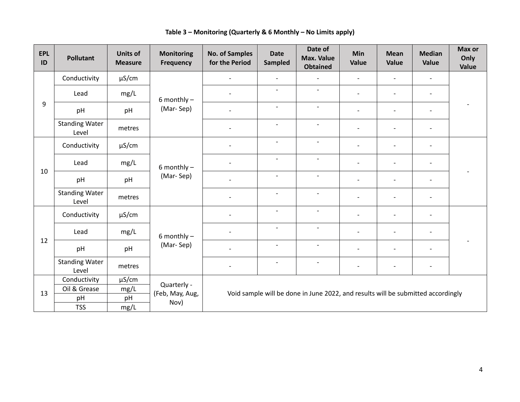| <b>EPL</b><br>ID | <b>Pollutant</b>               | <b>Units of</b><br><b>Measure</b> | <b>Monitoring</b><br><b>Frequency</b> | <b>No. of Samples</b><br>for the Period | <b>Date</b><br>Sampled                                                           | Date of<br><b>Max. Value</b><br><b>Obtained</b> | Min<br>Value             | <b>Mean</b><br>Value     | <b>Median</b><br>Value   | Max or<br>Only<br>Value |  |  |
|------------------|--------------------------------|-----------------------------------|---------------------------------------|-----------------------------------------|----------------------------------------------------------------------------------|-------------------------------------------------|--------------------------|--------------------------|--------------------------|-------------------------|--|--|
|                  | Conductivity                   | $\mu$ S/cm                        |                                       | $\overline{\phantom{a}}$                | $\blacksquare$                                                                   |                                                 |                          |                          | $\overline{\phantom{a}}$ |                         |  |  |
|                  | Lead                           | mg/L                              | 6 monthly $-$                         | $\overline{\phantom{0}}$                | $\overline{\phantom{a}}$                                                         | $\blacksquare$                                  | $\overline{\phantom{a}}$ | $\overline{\phantom{a}}$ | $\overline{\phantom{a}}$ |                         |  |  |
| 9                | pH                             | pH                                | (Mar-Sep)                             | $\overline{\phantom{0}}$                | $\overline{\phantom{a}}$                                                         | $\overline{\phantom{a}}$                        |                          |                          | $\overline{\phantom{a}}$ |                         |  |  |
|                  | <b>Standing Water</b><br>Level | metres                            |                                       | $\overline{\phantom{0}}$                | $\blacksquare$                                                                   |                                                 |                          |                          | $\overline{\phantom{a}}$ |                         |  |  |
|                  | Conductivity                   | $\mu$ S/cm                        |                                       | $\overline{\phantom{0}}$                | $\blacksquare$                                                                   |                                                 |                          |                          | $\overline{\phantom{a}}$ |                         |  |  |
|                  | Lead                           | mg/L                              | 6 monthly $-$<br>(Mar-Sep)            | $\overline{\phantom{0}}$                | $\overline{\phantom{a}}$                                                         | $\overline{\phantom{a}}$                        | $\overline{\phantom{a}}$ | $\blacksquare$           | $\overline{\phantom{a}}$ |                         |  |  |
| 10               | pH                             | pH                                |                                       | $\overline{\phantom{a}}$                | $\overline{\phantom{a}}$                                                         | $\overline{\phantom{a}}$                        | $\overline{\phantom{a}}$ | $\blacksquare$           | $\overline{\phantom{a}}$ |                         |  |  |
|                  | <b>Standing Water</b><br>Level | metres                            |                                       | $\overline{\phantom{a}}$                | $\overline{\phantom{a}}$                                                         | $\overline{\phantom{a}}$                        | $\overline{\phantom{a}}$ | $\overline{\phantom{a}}$ | $\overline{\phantom{a}}$ |                         |  |  |
|                  | Conductivity                   | µS/cm                             |                                       | $\overline{\phantom{0}}$                | $\overline{\phantom{a}}$                                                         | $\overline{\phantom{a}}$                        |                          | $\blacksquare$           | $\blacksquare$           |                         |  |  |
| 12               | Lead                           | mg/L                              | 6 monthly $-$<br>(Mar-Sep)            | $\overline{\phantom{0}}$                | $\overline{\phantom{a}}$                                                         |                                                 |                          |                          | $\overline{\phantom{a}}$ |                         |  |  |
|                  | pH                             | pH                                |                                       | $\overline{\phantom{0}}$                | $\blacksquare$                                                                   | $\blacksquare$                                  |                          |                          | $\overline{\phantom{a}}$ |                         |  |  |
|                  | <b>Standing Water</b><br>Level | metres                            |                                       | $\overline{\phantom{a}}$                | $\overline{\phantom{a}}$                                                         | $\overline{\phantom{0}}$                        |                          | $\overline{\phantom{a}}$ | $\overline{\phantom{a}}$ |                         |  |  |
|                  | Conductivity                   | $\mu$ S/cm                        | Quarterly -                           |                                         |                                                                                  |                                                 |                          |                          |                          |                         |  |  |
| 13               | Oil & Grease                   | mg/L                              | (Feb, May, Aug,                       |                                         |                                                                                  |                                                 |                          |                          |                          |                         |  |  |
|                  | pH                             | pH                                | Nov)                                  |                                         | Void sample will be done in June 2022, and results will be submitted accordingly |                                                 |                          |                          |                          |                         |  |  |
|                  | <b>TSS</b>                     | mg/L                              |                                       |                                         |                                                                                  |                                                 |                          |                          |                          |                         |  |  |

**Table 3 – Monitoring (Quarterly & 6 Monthly – No Limits apply)**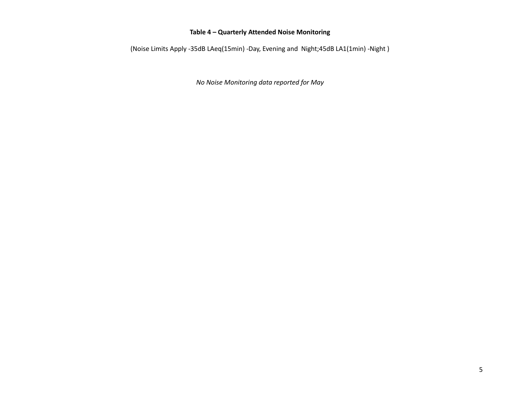### **Table 4 – Quarterly Attended Noise Monitoring**

(Noise Limits Apply -35dB LAeq(15min) -Day, Evening and Night;45dB LA1(1min) -Night )

*No Noise Monitoring data reported for May*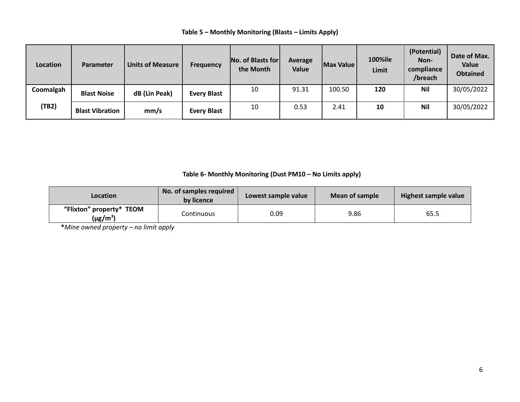## **Table 5 – Monthly Monitoring (Blasts – Limits Apply)**

| Location  | <b>Parameter</b>       | <b>Units of Measure</b> | <b>Frequency</b>   | No. of Blasts for<br>the Month | Average<br>Value | Max Value | <b>100%ile</b><br>Limit | (Potential)<br>Non-<br>compliance<br>/breach | Date of Max.<br>Value<br><b>Obtained</b> |
|-----------|------------------------|-------------------------|--------------------|--------------------------------|------------------|-----------|-------------------------|----------------------------------------------|------------------------------------------|
| Coomalgah | <b>Blast Noise</b>     | dB (Lin Peak)           | <b>Every Blast</b> | 10                             | 91.31            | 100.50    | 120                     | <b>Nil</b>                                   | 30/05/2022                               |
| (TB2)     | <b>Blast Vibration</b> | mm/s                    | <b>Every Blast</b> | 10                             | 0.53             | 2.41      | 10                      | <b>Nil</b>                                   | 30/05/2022                               |

## **Table 6- Monthly Monitoring (Dust PM10 – No Limits apply)**

| Location                                  | No. of samples required<br>by licence | Lowest sample value | Mean of sample | Highest sample value |  |
|-------------------------------------------|---------------------------------------|---------------------|----------------|----------------------|--|
| "Flixton" property* TEOM<br>$(\mu g/m^3)$ | Continuous                            | 0.09                | 9.86           | 65.5                 |  |

**\****Mine owned property – no limit apply*